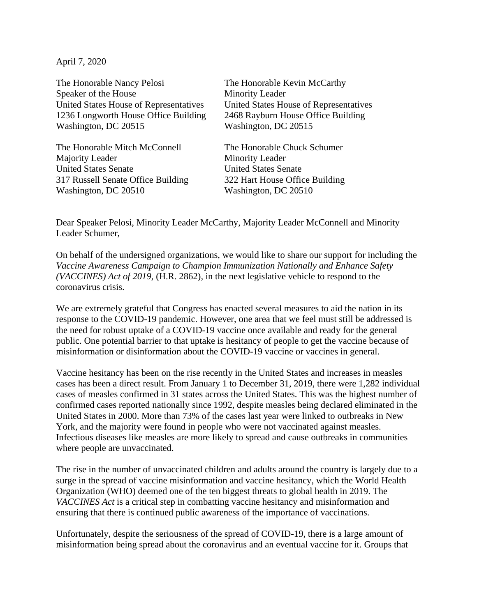April 7, 2020

The Honorable Nancy Pelosi The Honorable Kevin McCarthy Speaker of the House Minority Leader United States House of Representatives United States House of Representatives 1236 Longworth House Office Building 2468 Rayburn House Office Building Washington, DC 20515 Washington, DC 20515

The Honorable Mitch McConnell The Honorable Chuck Schumer Majority Leader Minority Leader United States Senate United States Senate 317 Russell Senate Office Building 322 Hart House Office Building Washington, DC 20510 Washington, DC 20510

Dear Speaker Pelosi, Minority Leader McCarthy, Majority Leader McConnell and Minority Leader Schumer,

On behalf of the undersigned organizations, we would like to share our support for including the *Vaccine Awareness Campaign to Champion Immunization Nationally and Enhance Safety (VACCINES) Act of 2019,* (H.R. 2862)*,* in the next legislative vehicle to respond to the coronavirus crisis.

We are extremely grateful that Congress has enacted several measures to aid the nation in its response to the COVID-19 pandemic. However, one area that we feel must still be addressed is the need for robust uptake of a COVID-19 vaccine once available and ready for the general public. One potential barrier to that uptake is hesitancy of people to get the vaccine because of misinformation or disinformation about the COVID-19 vaccine or vaccines in general.

Vaccine hesitancy has been on the rise recently in the United States and increases in measles cases has been a direct result. From January 1 to December 31, 2019, there were 1,282 individual cases of measles confirmed in 31 states across the United States. This was the highest number of confirmed cases reported nationally since 1992, despite measles being declared eliminated in the United States in 2000. More than 73% of the cases last year were linked to outbreaks in New York, and the majority were found in people who were not vaccinated against measles. Infectious diseases like measles are more likely to spread and cause outbreaks in communities where people are unvaccinated.

The rise in the number of unvaccinated children and adults around the country is largely due to a surge in the spread of vaccine misinformation and vaccine hesitancy, which the World Health Organization (WHO) deemed one of the ten biggest threats to global health in 2019. The *VACCINES Act* is a critical step in combatting vaccine hesitancy and misinformation and ensuring that there is continued public awareness of the importance of vaccinations.

Unfortunately, despite the seriousness of the spread of COVID-19, there is a large amount of misinformation being spread about the coronavirus and an eventual vaccine for it. Groups that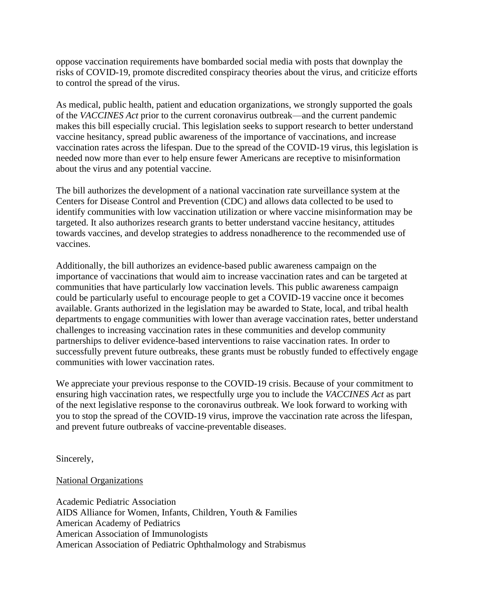oppose vaccination requirements have bombarded social media with posts that downplay the risks of COVID-19, promote discredited conspiracy theories about the virus, and criticize efforts to control the spread of the virus.

As medical, public health, patient and education organizations, we strongly supported the goals of the *VACCINES Act* prior to the current coronavirus outbreak—and the current pandemic makes this bill especially crucial. This legislation seeks to support research to better understand vaccine hesitancy, spread public awareness of the importance of vaccinations, and increase vaccination rates across the lifespan. Due to the spread of the COVID-19 virus, this legislation is needed now more than ever to help ensure fewer Americans are receptive to misinformation about the virus and any potential vaccine.

The bill authorizes the development of a national vaccination rate surveillance system at the Centers for Disease Control and Prevention (CDC) and allows data collected to be used to identify communities with low vaccination utilization or where vaccine misinformation may be targeted. It also authorizes research grants to better understand vaccine hesitancy, attitudes towards vaccines, and develop strategies to address nonadherence to the recommended use of vaccines.

Additionally, the bill authorizes an evidence-based public awareness campaign on the importance of vaccinations that would aim to increase vaccination rates and can be targeted at communities that have particularly low vaccination levels. This public awareness campaign could be particularly useful to encourage people to get a COVID-19 vaccine once it becomes available. Grants authorized in the legislation may be awarded to State, local, and tribal health departments to engage communities with lower than average vaccination rates, better understand challenges to increasing vaccination rates in these communities and develop community partnerships to deliver evidence-based interventions to raise vaccination rates. In order to successfully prevent future outbreaks, these grants must be robustly funded to effectively engage communities with lower vaccination rates.

We appreciate your previous response to the COVID-19 crisis. Because of your commitment to ensuring high vaccination rates, we respectfully urge you to include the *VACCINES Act* as part of the next legislative response to the coronavirus outbreak. We look forward to working with you to stop the spread of the COVID-19 virus, improve the vaccination rate across the lifespan, and prevent future outbreaks of vaccine-preventable diseases.

Sincerely,

## National Organizations

Academic Pediatric Association AIDS Alliance for Women, Infants, Children, Youth & Families American Academy of Pediatrics American Association of Immunologists American Association of Pediatric Ophthalmology and Strabismus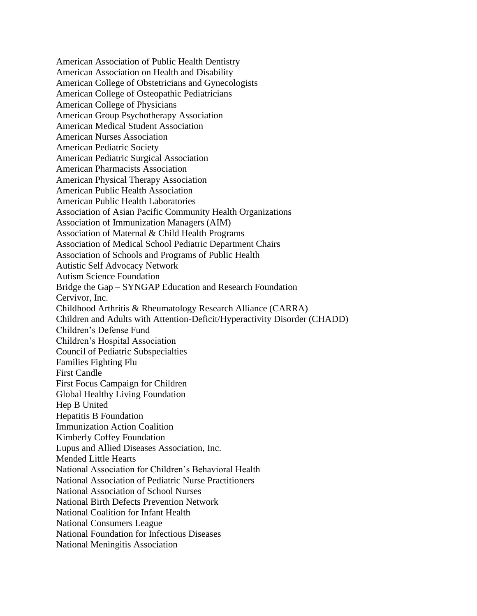American Association of Public Health Dentistry American Association on Health and Disability American College of Obstetricians and Gynecologists American College of Osteopathic Pediatricians American College of Physicians American Group Psychotherapy Association American Medical Student Association American Nurses Association American Pediatric Society American Pediatric Surgical Association American Pharmacists Association American Physical Therapy Association American Public Health Association American Public Health Laboratories Association of Asian Pacific Community Health Organizations Association of Immunization Managers (AIM) Association of Maternal & Child Health Programs Association of Medical School Pediatric Department Chairs Association of Schools and Programs of Public Health Autistic Self Advocacy Network Autism Science Foundation Bridge the Gap – SYNGAP Education and Research Foundation Cervivor, Inc. Childhood Arthritis & Rheumatology Research Alliance (CARRA) Children and Adults with Attention-Deficit/Hyperactivity Disorder (CHADD) Children's Defense Fund Children's Hospital Association Council of Pediatric Subspecialties Families Fighting Flu First Candle First Focus Campaign for Children Global Healthy Living Foundation Hep B United Hepatitis B Foundation Immunization Action Coalition Kimberly Coffey Foundation Lupus and Allied Diseases Association, Inc. Mended Little Hearts National Association for Children's Behavioral Health National Association of Pediatric Nurse Practitioners National Association of School Nurses National Birth Defects Prevention Network National Coalition for Infant Health National Consumers League National Foundation for Infectious Diseases National Meningitis Association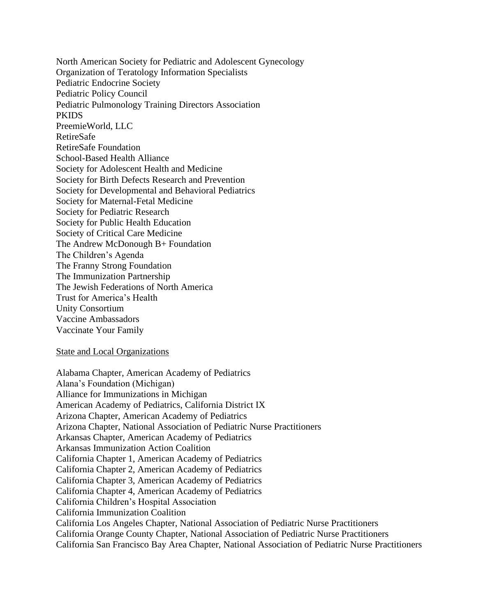North American Society for Pediatric and Adolescent Gynecology Organization of Teratology Information Specialists Pediatric Endocrine Society Pediatric Policy Council Pediatric Pulmonology Training Directors Association **PKIDS** PreemieWorld, LLC RetireSafe RetireSafe Foundation School-Based Health Alliance Society for Adolescent Health and Medicine Society for Birth Defects Research and Prevention Society for Developmental and Behavioral Pediatrics Society for Maternal-Fetal Medicine Society for Pediatric Research Society for Public Health Education Society of Critical Care Medicine The Andrew McDonough B+ Foundation The Children's Agenda The Franny Strong Foundation The Immunization Partnership The Jewish Federations of North America Trust for America's Health Unity Consortium Vaccine Ambassadors Vaccinate Your Family

State and Local Organizations

Alabama Chapter, American Academy of Pediatrics Alana's Foundation (Michigan) Alliance for Immunizations in Michigan American Academy of Pediatrics, California District IX Arizona Chapter, American Academy of Pediatrics Arizona Chapter, National Association of Pediatric Nurse Practitioners Arkansas Chapter, American Academy of Pediatrics Arkansas Immunization Action Coalition California Chapter 1, American Academy of Pediatrics California Chapter 2, American Academy of Pediatrics California Chapter 3, American Academy of Pediatrics California Chapter 4, American Academy of Pediatrics California Children's Hospital Association California Immunization Coalition California Los Angeles Chapter, National Association of Pediatric Nurse Practitioners California Orange County Chapter, National Association of Pediatric Nurse Practitioners California San Francisco Bay Area Chapter, National Association of Pediatric Nurse Practitioners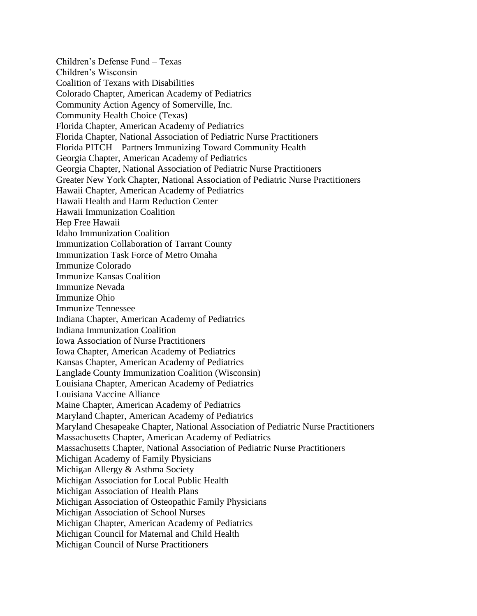Children's Defense Fund – Texas Children's Wisconsin Coalition of Texans with Disabilities Colorado Chapter, American Academy of Pediatrics Community Action Agency of Somerville, Inc. Community Health Choice (Texas) Florida Chapter, American Academy of Pediatrics Florida Chapter, National Association of Pediatric Nurse Practitioners Florida PITCH – Partners Immunizing Toward Community Health Georgia Chapter, American Academy of Pediatrics Georgia Chapter, National Association of Pediatric Nurse Practitioners Greater New York Chapter, National Association of Pediatric Nurse Practitioners Hawaii Chapter, American Academy of Pediatrics Hawaii Health and Harm Reduction Center Hawaii Immunization Coalition Hep Free Hawaii Idaho Immunization Coalition Immunization Collaboration of Tarrant County Immunization Task Force of Metro Omaha Immunize Colorado Immunize Kansas Coalition Immunize Nevada Immunize Ohio Immunize Tennessee Indiana Chapter, American Academy of Pediatrics Indiana Immunization Coalition Iowa Association of Nurse Practitioners Iowa Chapter, American Academy of Pediatrics Kansas Chapter, American Academy of Pediatrics Langlade County Immunization Coalition (Wisconsin) Louisiana Chapter, American Academy of Pediatrics Louisiana Vaccine Alliance Maine Chapter, American Academy of Pediatrics Maryland Chapter, American Academy of Pediatrics Maryland Chesapeake Chapter, National Association of Pediatric Nurse Practitioners Massachusetts Chapter, American Academy of Pediatrics Massachusetts Chapter, National Association of Pediatric Nurse Practitioners Michigan Academy of Family Physicians Michigan Allergy & Asthma Society Michigan Association for Local Public Health Michigan Association of Health Plans Michigan Association of Osteopathic Family Physicians Michigan Association of School Nurses Michigan Chapter, American Academy of Pediatrics Michigan Council for Maternal and Child Health Michigan Council of Nurse Practitioners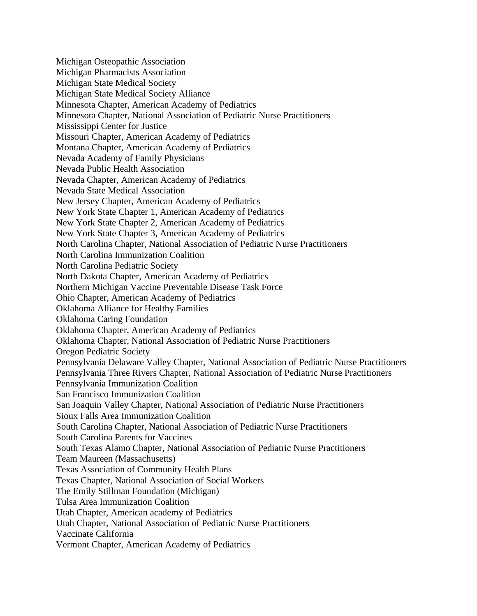Michigan Osteopathic Association Michigan Pharmacists Association Michigan State Medical Society Michigan State Medical Society Alliance Minnesota Chapter, American Academy of Pediatrics Minnesota Chapter, National Association of Pediatric Nurse Practitioners Mississippi Center for Justice Missouri Chapter, American Academy of Pediatrics Montana Chapter, American Academy of Pediatrics Nevada Academy of Family Physicians Nevada Public Health Association Nevada Chapter, American Academy of Pediatrics Nevada State Medical Association New Jersey Chapter, American Academy of Pediatrics New York State Chapter 1, American Academy of Pediatrics New York State Chapter 2, American Academy of Pediatrics New York State Chapter 3, American Academy of Pediatrics North Carolina Chapter, National Association of Pediatric Nurse Practitioners North Carolina Immunization Coalition North Carolina Pediatric Society North Dakota Chapter, American Academy of Pediatrics Northern Michigan Vaccine Preventable Disease Task Force Ohio Chapter, American Academy of Pediatrics Oklahoma Alliance for Healthy Families Oklahoma Caring Foundation Oklahoma Chapter, American Academy of Pediatrics Oklahoma Chapter, National Association of Pediatric Nurse Practitioners Oregon Pediatric Society Pennsylvania Delaware Valley Chapter, National Association of Pediatric Nurse Practitioners Pennsylvania Three Rivers Chapter, National Association of Pediatric Nurse Practitioners Pennsylvania Immunization Coalition San Francisco Immunization Coalition San Joaquin Valley Chapter, National Association of Pediatric Nurse Practitioners Sioux Falls Area Immunization Coalition South Carolina Chapter, National Association of Pediatric Nurse Practitioners South Carolina Parents for Vaccines South Texas Alamo Chapter, National Association of Pediatric Nurse Practitioners Team Maureen (Massachusetts) Texas Association of Community Health Plans Texas Chapter, National Association of Social Workers The Emily Stillman Foundation (Michigan) Tulsa Area Immunization Coalition Utah Chapter, American academy of Pediatrics Utah Chapter, National Association of Pediatric Nurse Practitioners Vaccinate California Vermont Chapter, American Academy of Pediatrics